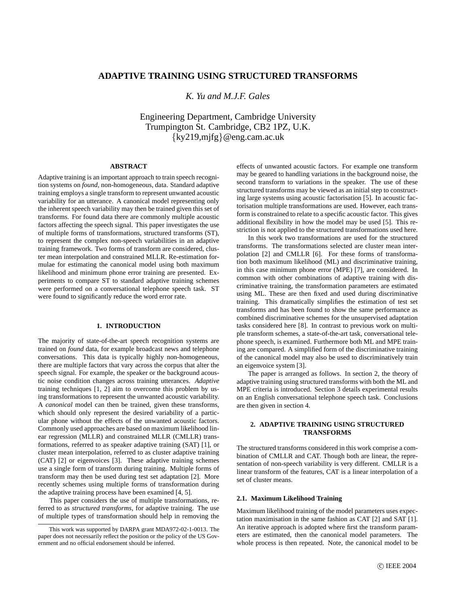# **ADAPTIVE TRAINING USING STRUCTURED TRANSFORMS**

*K. Yu and M.J.F. Gales*

Engineering Department, Cambridge University Trumpington St. Cambridge, CB2 1PZ, U.K. {ky219,mjfg}@eng.cam.ac.uk

## **ABSTRACT**

Adaptive training is an important approach to train speech recognition systems on *found*, non-homogeneous, data. Standard adaptive training employs a single transform to represent unwanted acoustic variability for an utterance. A canonical model representing only the inherent speech variability may then be trained given this set of transforms. For found data there are commonly multiple acoustic factors affecting the speech signal. This paper investigates the use of multiple forms of transformations, structured transforms (ST), to represent the complex non-speech variabilities in an adaptive training framework. Two forms of transform are considered, cluster mean interpolation and constrained MLLR. Re-estimation formulae for estimating the canonical model using both maximum likelihood and minimum phone error training are presented. Experiments to compare ST to standard adaptive training schemes were performed on a conversational telephone speech task. ST were found to significantly reduce the word error rate.

### **1. INTRODUCTION**

The majority of state-of-the-art speech recognition systems are trained on *found* data, for example broadcast news and telephone conversations. This data is typically highly non-homogeneous, there are multiple factors that vary across the corpus that alter the speech signal. For example, the speaker or the background acoustic noise condition changes across training utterances. *Adaptive* training techniques [1, 2] aim to overcome this problem by using transformations to represent the unwanted acoustic variability. A *canonical* model can then be trained, given these transforms, which should only represent the desired variability of a particular phone without the effects of the unwanted acoustic factors. Commonly used approaches are based on maximum likelihood linear regression (MLLR) and constrained MLLR (CMLLR) transformations, referred to as speaker adaptive training (SAT) [1], or cluster mean interpolation, referred to as cluster adaptive training (CAT) [2] or eigenvoices [3]. These adaptive training schemes use a single form of transform during training. Multiple forms of transform may then be used during test set adaptation [2]. More recently schemes using multiple forms of transformation during the adaptive training process have been examined [4, 5].

This paper considers the use of multiple transformations, referred to as *structured transforms*, for adaptive training. The use of multiple types of transformation should help in removing the effects of unwanted acoustic factors. For example one transform may be geared to handling variations in the background noise, the second transform to variations in the speaker. The use of these structured transforms may be viewed as an initial step to constructing large systems using acoustic factorisation [5]. In acoustic factorisation multiple transformations are used. However, each transform is constrained to relate to a specific acoustic factor. This gives additional flexibility in how the model may be used [5]. This restriction is not applied to the structured transformations used here.

In this work two transformations are used for the structured transforms. The transformations selected are cluster mean interpolation [2] and CMLLR [6]. For these forms of transformation both maximum likelihood (ML) and discriminative training, in this case minimum phone error (MPE) [7], are considered. In common with other combinations of adaptive training with discriminative training, the transformation parameters are estimated using ML. These are then fixed and used during discriminative training. This dramatically simplifies the estimation of test set transforms and has been found to show the same performance as combined discriminative schemes for the unsupervised adaptation tasks considered here [8]. In contrast to previous work on multiple transform schemes, a state-of-the-art task, conversational telephone speech, is examined. Furthermore both ML and MPE training are compared. A simplified form of the discriminative training of the canonical model may also be used to discriminatively train an eigenvoice system [3].

The paper is arranged as follows. In section 2, the theory of adaptive training using structured transforms with both the ML and MPE criteria is introduced. Section 3 details experimental results on an English conversational telephone speech task. Conclusions are then given in section 4.

### **2. ADAPTIVE TRAINING USING STRUCTURED TRANSFORMS**

The structured transforms considered in this work comprise a combination of CMLLR and CAT. Though both are linear, the representation of non-speech variability is very different. CMLLR is a linear transform of the features, CAT is a linear interpolation of a set of cluster means.

#### **2.1. Maximum Likelihood Training**

Maximum likelihood training of the model parameters uses expectation maximisation in the same fashion as CAT [2] and SAT [1]. An iterative approach is adopted where first the transform parameters are estimated, then the canonical model parameters. The whole process is then repeated. Note, the canonical model to be

This work was supported by DARPA grant MDA972-02-1-0013. The paper does not necessarily reflect the position or the policy of the US Government and no official endorsement should be inferred.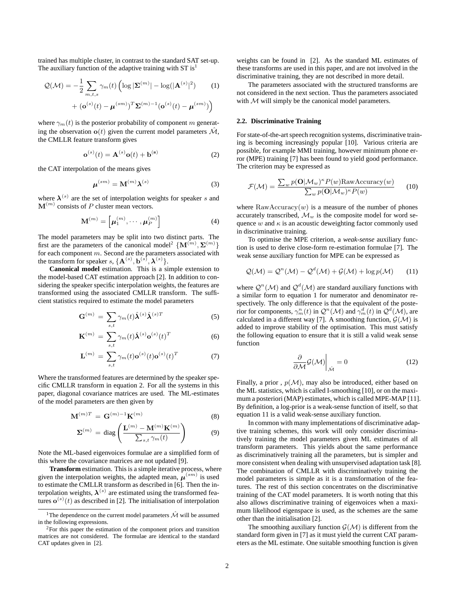trained has multiple cluster, in contrast to the standard SAT set-up. The auxiliary function of the adaptive training with  $ST$  is<sup>1</sup>

$$
\mathcal{Q}(\mathcal{M}) = -\frac{1}{2} \sum_{m,t,s} \gamma_m(t) \left( \log |\mathbf{\Sigma}^{(m)}| - \log(|\mathbf{A}^{(s)}|^2) + (\mathbf{o}^{(s)}(t) - \boldsymbol{\mu}^{(sm)})^T \mathbf{\Sigma}^{(m)-1} (\mathbf{o}^{(s)}(t) - \boldsymbol{\mu}^{(sm)}) \right)
$$
(1)

where  $\gamma_m(t)$  is the posterior probability of component m generating the observation  $o(t)$  given the current model parameters  $\hat{\mathcal{M}}$ , the CMLLR feature transform gives

$$
\mathbf{o}^{(s)}(t) = \mathbf{A}^{(s)} \mathbf{o}(t) + \mathbf{b}^{(s)}
$$
 (2)

the CAT interpolation of the means gives

$$
\boldsymbol{\mu}^{(sm)} = \mathbf{M}^{(m)} \boldsymbol{\lambda}^{(s)} \tag{3}
$$

where  $\lambda^{(s)}$  are the set of interpolation weights for speaker s and  $\mathbf{M}^{(m)}$  consists of P cluster mean vectors.

$$
\mathbf{M}^{(m)} = \left[ \boldsymbol{\mu}_1^{(m)}, \cdots, \boldsymbol{\mu}_P^{(m)} \right] \tag{4}
$$

The model parameters may be split into two distinct parts. The first are the parameters of the canonical model<sup>2</sup> { $\mathbf{M}^{(m)}, \mathbf{\Sigma}^{(m)}$ } for each component m. Second are the parameters associated with the transform for speaker  $s, \{A^{(s)}, b^{(s)}, \lambda^{(s)}\}$ .

**Canonical model** estimation. This is a simple extension to the model-based CAT estimation approach [2]. In addition to considering the speaker specific interpolation weights, the features are transformed using the associated CMLLR transform. The sufficient statistics required to estimate the model parameters

$$
\mathbf{G}^{(m)} = \sum_{s,t} \gamma_m(t) \hat{\mathbf{\lambda}}^{(s)} \hat{\mathbf{\lambda}}^{(s)T}
$$
 (5)

$$
\mathbf{K}^{(m)} = \sum_{s,t} \gamma_m(t) \hat{\boldsymbol{\lambda}}^{(s)} \mathbf{o}^{(s)}(t)^T
$$
 (6)

$$
\mathbf{L}^{(m)} = \sum_{s,t} \gamma_m(t) \mathbf{o}^{(s)}(t) \mathbf{o}^{(s)}(t)^T
$$
 (7)

Where the transformed features are determined by the speaker specific CMLLR transform in equation 2. For all the systems in this paper, diagonal covariance matrices are used. The ML-estimates of the model parameters are then given by

$$
\mathbf{M}^{(m)T} = \mathbf{G}^{(m)-1}\mathbf{K}^{(m)} \tag{8}
$$

$$
\Sigma^{(m)} = \text{diag}\left(\frac{\mathbf{L}^{(m)} - \mathbf{M}^{(m)} \mathbf{K}^{(m)}}{\sum_{s,t} \gamma_m(t)}\right) \tag{9}
$$

Note the ML-based eigenvoices formulae are a simplified form of this where the covariance matrices are not updated [9].

**Transform** estimation. This is a simple iterative process, where given the interpolation weights, the adapted mean,  $\mu^{(sm)}$  is used to estimate the CMLLR transform as described in [6]. Then the interpolation weights,  $\boldsymbol{\lambda}^{(s)}$  are estimated using the transformed features  $\mathbf{o}^{(s)}(t)$  as described in [2]. The initialisation of interpolation

weights can be found in [2]. As the standard ML estimates of these transforms are used in this paper, and are not involved in the discriminative training, they are not described in more detail.

The parameters associated with the structured transforms are not considered in the next section. Thus the parameters associated with  $M$  will simply be the canonical model parameters.

# **2.2. Discriminative Training**

For state-of-the-art speech recognition systems, discriminative training is becoming increasingly popular [10]. Various criteria are possible, for example MMI training, however minimum phone error (MPE) training [7] has been found to yield good performance. The criterion may be expressed as

$$
\mathcal{F}(\mathcal{M}) = \frac{\sum_{w} p(\mathbf{O}|\mathcal{M}_{w})^{\kappa} P(w) \text{RawAccuracy}(w)}{\sum_{w} p(\mathbf{O}|\mathcal{M}_{w})^{\kappa} P(w)} \qquad (10)
$$

where  $\text{RawAccuracy}(w)$  is a measure of the number of phones accurately transcribed,  $\mathcal{M}_w$  is the composite model for word sequence w and  $\kappa$  is an acoustic deweighting factor commonly used in discriminative training.

To optimise the MPE criterion, a *weak-sense* auxiliary function is used to derive close-form re-estimation formulae [7]. The weak sense auxiliary function for MPE can be expressed as

$$
\mathcal{Q}(\mathcal{M}) = \mathcal{Q}^n(\mathcal{M}) - \mathcal{Q}^d(\mathcal{M}) + \mathcal{G}(\mathcal{M}) + \log p(\mathcal{M}) \qquad (11)
$$

where  $\mathcal{Q}^n(\mathcal{M})$  and  $\mathcal{Q}^d(\mathcal{M})$  are standard auxiliary functions with a similar form to equation 1 for numerator and denominator respectively. The only difference is that the equivalent of the posterior for components,  $\gamma_m^n(t)$  in  $\mathcal{Q}^n(\mathcal{M})$  and  $\gamma_m^d(t)$  in  $\mathcal{Q}^d(\mathcal{M})$ , are calculated in a different way [7]. A smoothing function,  $G(\mathcal{M})$  is added to improve stability of the optimisation. This must satisfy the following equation to ensure that it is still a valid weak sense function

$$
\left. \frac{\partial}{\partial \mathcal{M}} \mathcal{G}(\mathcal{M}) \right|_{\hat{\mathcal{M}}} = 0 \tag{12}
$$

Finally, a prior,  $p(\mathcal{M})$ , may also be introduced, either based on the ML statistics, which is called I-smoothing [10], or on the maximum a posteriori (MAP) estimates, which is called MPE-MAP [11]. By definition, a log-prior is a weak-sense function of itself, so that equation 11 is a valid weak-sense auxiliary function.

In common with many implementations of discriminative adaptive training schemes, this work will only consider discriminatively training the model parameters given ML estimates of all transform parameters. This yields about the same performance as discriminatively training all the parameters, but is simpler and more consistent when dealing with unsupervised adaptation task [8]. The combination of CMLLR with discriminatively training the model parameters is simple as it is a transformation of the features. The rest of this section concentrates on the discriminative training of the CAT model parameters. It is worth noting that this also allows discriminative training of eigenvoices when a maximum likelihood eigenspace is used, as the schemes are the same other than the initialisation [2].

The smoothing auxiliary function  $\mathcal{G}(\mathcal{M})$  is different from the standard form given in [7] as it must yield the current CAT parameters as the ML estimate. One suitable smoothing function is given

<sup>&</sup>lt;sup>1</sup>The dependence on the current model parameters  $\hat{\mathcal{M}}$  will be assumed in the following expressions.

 $2$ For this paper the estimation of the component priors and transition matrices are not considered. The formulae are identical to the standard CAT updates given in [2].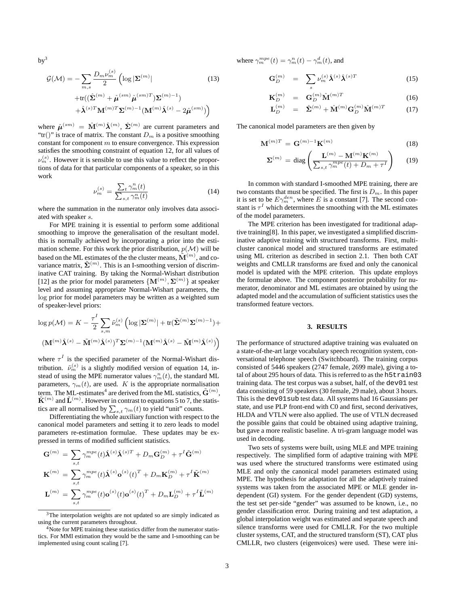$by<sup>3</sup>$ 

$$
\mathcal{G}(\mathcal{M}) = -\sum_{m,s} \frac{D_m \nu_m^{(s)}}{2} \left( \log |\mathbf{\Sigma}^{(m)}| \right)
$$
\n
$$
+ \text{tr}((\hat{\mathbf{\Sigma}}^{(m)} + \hat{\boldsymbol{\mu}}^{(sm)} \hat{\boldsymbol{\mu}}^{(sm)T}) \mathbf{\Sigma}^{(m)-1})
$$
\n
$$
+ \hat{\boldsymbol{\lambda}}^{(s)T} \mathbf{M}^{(m)T} \mathbf{\Sigma}^{(m)-1} (\mathbf{M}^{(m)} \hat{\boldsymbol{\lambda}}^{(s)} - 2 \hat{\boldsymbol{\mu}}^{(sm)}) \right)
$$
\n(13)

where  $\hat{\mu}^{(sm)} = \hat{\mathbf{M}}^{(m)} \hat{\boldsymbol{\lambda}}^{(m)}$ ,  $\hat{\boldsymbol{\Sigma}}^{(m)}$  are current parameters and "tr()" is trace of matrix. The constant  $D_m$  is a positive smoothing constant for component  $m$  to ensure convergence. This expression satisfies the smoothing constraint of equation 12, for all values of  $\nu_m^{(s)}$ . However it is sensible to use this value to reflect the proportions of data for that particular components of a speaker, so in this work

$$
\nu_m^{(s)} = \frac{\sum_t \gamma_m^n(t)}{\sum_{s,t} \gamma_m^m(t)}\tag{14}
$$

where the summation in the numerator only involves data associated with speaker s.

For MPE training it is essential to perform some additional smoothing to improve the generalisation of the resultant model. this is normally achieved by incorporating a prior into the estimation scheme. For this work the prior distribution,  $p(\mathcal{M})$  will be based on the ML estimates of the the cluster means,  $\tilde{\mathbf{M}}^{(m)}$ , and covariance matrix,  $\tilde{\mathbf{\Sigma}}^{(m)}$ . This is an I-smoothing version of discriminative CAT training. By taking the Normal-Wishart distribution [12] as the prior for model parameters  $\{M^{(m)}, \Sigma^{(m)}\}$  at speaker level and assuming appropriate Normal-Wishart parameters, the log prior for model parameters may be written as a weighted sum of speaker-level priors:

$$
\log p(\mathcal{M}) = K - \frac{\tau^I}{2} \sum_{s,m} \tilde{\nu}_m^{(s)} \left( \log |\mathbf{\Sigma}^{(m)}| + \text{tr}(\tilde{\mathbf{\Sigma}}^{(m)} \mathbf{\Sigma}^{(m)} ) + \right.
$$

$$
(\mathbf{M}^{(m)} \hat{\mathbf{\lambda}}^{(s)} - \tilde{\mathbf{M}}^{(m)} \hat{\mathbf{\lambda}}^{(s)})^T \mathbf{\Sigma}^{(m)-1} (\mathbf{M}^{(m)} \hat{\mathbf{\lambda}}^{(s)} - \tilde{\mathbf{M}}^{(m)} \hat{\mathbf{\lambda}}^{(s)}) \right)
$$

where  $\tau^I$  is the specified parameter of the Normal-Wishart distribution.  $\tilde{\nu}_m^{(s)}$  is a slightly modified version of equation 14, instead of using the MPE numerator values  $\gamma_m^n(t)$ , the standard ML parameters,  $\gamma_m(t)$ , are used. K is the appropriate normalisation term. The ML-estimates<sup>4</sup> are derived from the ML statistics,  $\tilde{\mathbf{G}}^{(m)}$ ,  $\tilde{\mathbf{K}}^{(m)}$  and  $\tilde{\mathbf{L}}^{(m)}$ . However in contrast to equations 5 to 7, the statistics are all normalised by  $\sum_{s,t} \gamma_m(t)$  to yield "unit" counts.

Differentiating the whole auxiliary function with respect to the canonical model parameters and setting it to zero leads to model parameters re-estimation formulae. These updates may be expressed in terms of modified sufficient statistics.

$$
\begin{aligned} \mathbf{G}^{(m)} &= \sum_{s,t} \gamma_m^{mpe}(t) \hat{\mathbf{\lambda}}^{(s)} \hat{\mathbf{\lambda}}^{(s)T} + D_m \mathbf{G}_D^{(m)} + \tau^I \tilde{\mathbf{G}}^{(m)} \\ \mathbf{K}^{(m)} &= \sum_{s,t} \gamma_m^{mpe}(t) \hat{\mathbf{\lambda}}^{(s)} \mathbf{o}^{(s)}(t)^T + D_m \mathbf{K}_D^{(m)} + \tau^I \tilde{\mathbf{K}}^{(m)} \\ \mathbf{L}^{(m)} &= \sum_{s,t} \gamma_m^{mpe}(t) \mathbf{o}^{(s)}(t) \mathbf{o}^{(s)}(t)^T + D_m \mathbf{L}_D^{(m)} + \tau^I \tilde{\mathbf{L}}^{(m)} \end{aligned}
$$

where  $\gamma_m^{mpe}(t) = \gamma_m^n(t) - \gamma_m^d(t)$ , and

$$
\mathbf{G}_{D}^{(m)} = \sum_{s} \nu_{m}^{(s)} \hat{\boldsymbol{\lambda}}^{(s)} \hat{\boldsymbol{\lambda}}^{(s)T}
$$
 (15)

$$
\mathbf{K}_{D}^{(m)} = \mathbf{G}_{D}^{(m)} \hat{\mathbf{M}}^{(m)T} \tag{16}
$$

$$
\mathbf{L}_{D}^{(m)} = \hat{\mathbf{\Sigma}}^{(m)} + \hat{\mathbf{M}}^{(m)} \mathbf{G}_{D}^{(m)} \hat{\mathbf{M}}^{(m)T} \tag{17}
$$

The canonical model parameters are then given by

$$
\mathbf{M}^{(m)T} = \mathbf{G}^{(m)-1}\mathbf{K}^{(m)} \tag{18}
$$

$$
\mathbf{\Sigma}^{(m)} = \text{diag}\left(\frac{\mathbf{L}^{(m)} - \mathbf{M}^{(m)} \mathbf{K}^{(m)}}{\sum_{s,t} \gamma_m^{mpe}(t) + D_m + \tau^I}\right) \qquad (19)
$$

In common with standard I-smoothed MPE training, there are two constants that must be specified. The first is  $D_m$ . In this paper it is set to be  $E\gamma_m^{den}$ , where E is a constant [7]. The second constant is  $\tau^I$  which determines the smoothing with the ML estimates of the model parameters.

The MPE criterion has been investigated for traditional adaptive training[8]. In this paper, we investigated a simplified discriminative adaptive training with structured transforms. First, multicluster canonical model and structured transforms are estimated using ML criterion as described in section 2.1. Then both CAT weights and CMLLR transforms are fixed and only the canonical model is updated with the MPE criterion. This update employs the formulae above. The component posterior probability for numerator, denominator and ML estimates are obtained by using the adapted model and the accumulation of sufficient statistics uses the transformed feature vectors.

#### **3. RESULTS**

The performance of structured adaptive training was evaluated on a state-of-the-art large vocabulary speech recognition system, conversational telephone speech (Switchboard). The training corpus consisted of 5446 speakers (2747 female, 2699 male), giving a total of about 295 hours of data. This is referred to as the h5train03 training data. The test corpus was a subset, half, of the dev01 test data consisting of 59 speakers (30 female, 29 male), about 3 hours. This is the dev01sub test data. All systems had 16 Gaussians per state, and use PLP front-end with C0 and first, second derivatives, HLDA and VTLN were also applied. The use of VTLN decreased the possible gains that could be obtained using adaptive training, but gave a more realistic baseline. A tri-gram language model was used in decoding.

Two sets of systems were built, using MLE and MPE training respectively. The simplified form of adaptive training with MPE was used where the structured transforms were estimated using MLE and only the canonical model parameters estimated using MPE. The hypothesis for adaptation for all the adaptively trained systems was taken from the associated MPE or MLE gender independent (GI) system. For the gender dependent (GD) systems, the test set per-side "gender" was assumed to be known, i.e., no gender classification error. During training and test adaptation, a global interpolation weight was estimated and separate speech and silence transforms were used for CMLLR. For the two multiple cluster systems, CAT, and the structured transform (ST), CAT plus CMLLR, two clusters (eigenvoices) were used. These were ini-

 $3$ The interpolation weights are not updated so are simply indicated as using the current parameters throughout.

Note for MPE training these statistics differ from the numerator statistics. For MMI estimation they would be the same and I-smoothing can be implemented using count scaling [7].